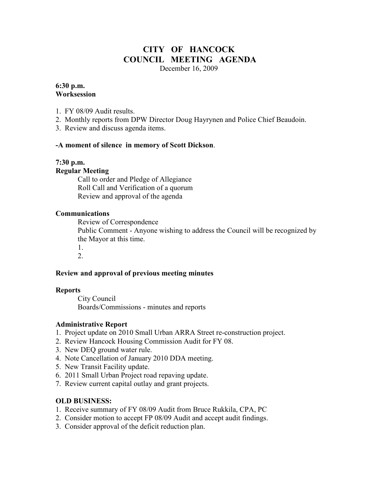# **CITY OF HANCOCK COUNCIL MEETING AGENDA**

December 16, 2009

#### **6:30 p.m. Worksession**

- 1. FY 08/09 Audit results.
- 2. Monthly reports from DPW Director Doug Hayrynen and Police Chief Beaudoin.
- 3. Review and discuss agenda items.

## **-A moment of silence in memory of Scott Dickson**.

# **7:30 p.m.**

#### **Regular Meeting**

 Call to order and Pledge of Allegiance Roll Call and Verification of a quorum Review and approval of the agenda

## **Communications**

Review of Correspondence

 Public Comment - Anyone wishing to address the Council will be recognized by the Mayor at this time.

 1. 2.

# **Review and approval of previous meeting minutes**

#### **Reports**

City Council Boards/Commissions - minutes and reports

# **Administrative Report**

- 1. Project update on 2010 Small Urban ARRA Street re-construction project.
- 2. Review Hancock Housing Commission Audit for FY 08.
- 3. New DEQ ground water rule.
- 4. Note Cancellation of January 2010 DDA meeting.
- 5. New Transit Facility update.
- 6. 2011 Small Urban Project road repaving update.
- 7. Review current capital outlay and grant projects.

# **OLD BUSINESS:**

- 1. Receive summary of FY 08/09 Audit from Bruce Rukkila, CPA, PC
- 2. Consider motion to accept FP 08/09 Audit and accept audit findings.
- 3. Consider approval of the deficit reduction plan.